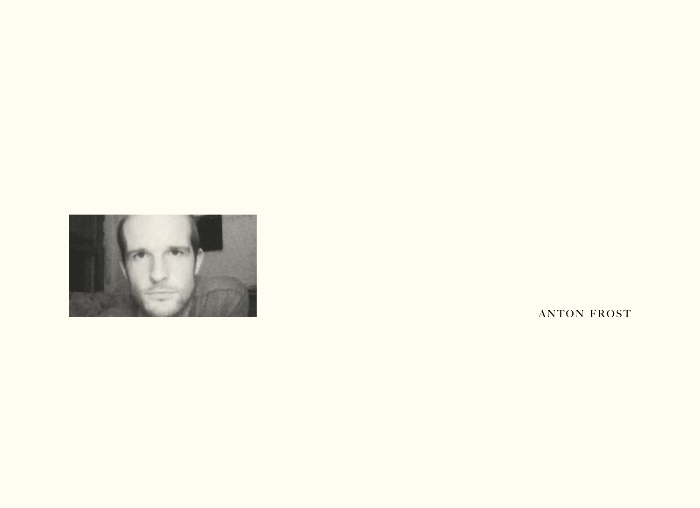

ANTON FROST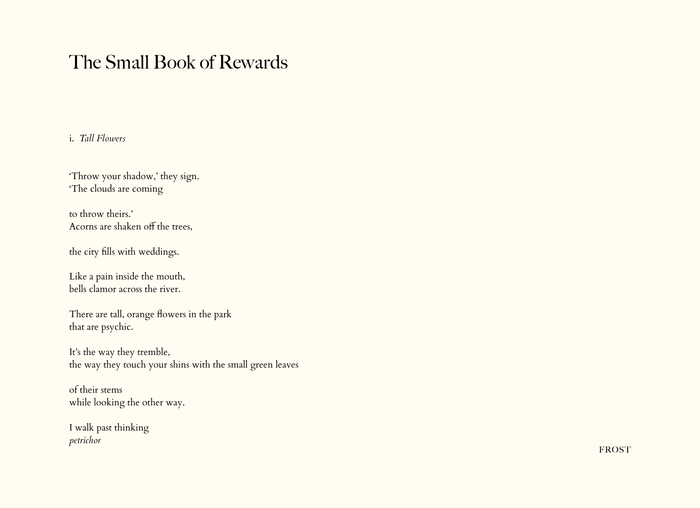## The Small Book of Rewards

#### i. *Tall Flowers*

'Throw your shadow,' they sign. 'The clouds are coming

to throw theirs.' Acorns are shaken off the trees,

the city fills with weddings.

Like a pain inside the mouth, bells clamor across the river.

There are tall, orange flowers in the park that are psychic.

It's the way they tremble, the way they touch your shins with the small green leaves

of their stems while looking the other way.

I walk past thinking *petrichor*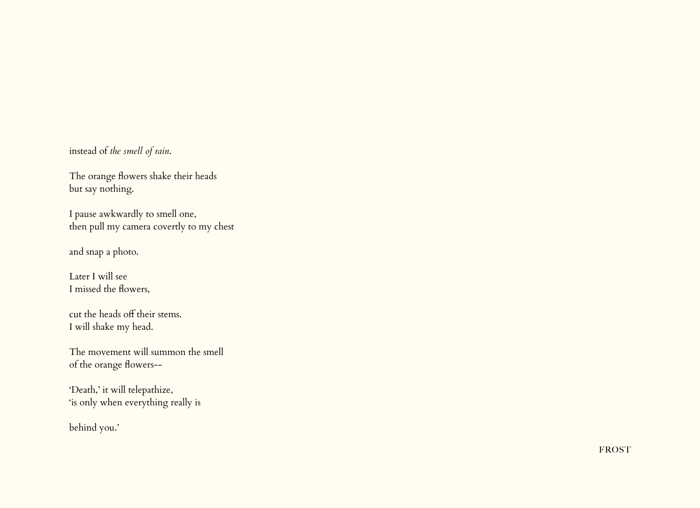instead of *the smell of rain*.

The orange flowers shake their heads but say nothing.

I pause awkwardly to smell one, then pull my camera covertly to my chest

and snap a photo.

Later I will see I missed the flowers,

cut the heads off their stems. I will shake my head.

The movement will summon the smell of the orange flowers--

'Death,' it will telepathize, 'is only when everything really is

behind you.'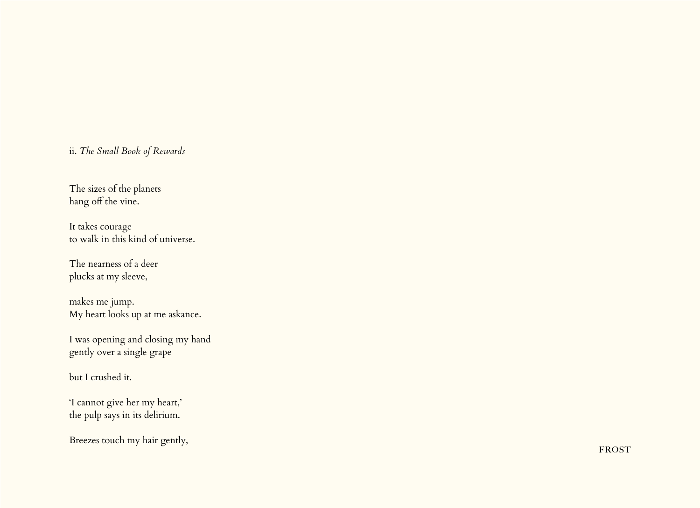### ii. *The Small Book of Rewards*

The sizes of the planets hang off the vine.

It takes courage to walk in this kind of universe.

The nearness of a deer plucks at my sleeve,

makes me jump. My heart looks up at me askance.

I was opening and closing my hand gently over a single grape

but I crushed it.

'I cannot give her my heart,' the pulp says in its delirium.

Breezes touch my hair gently,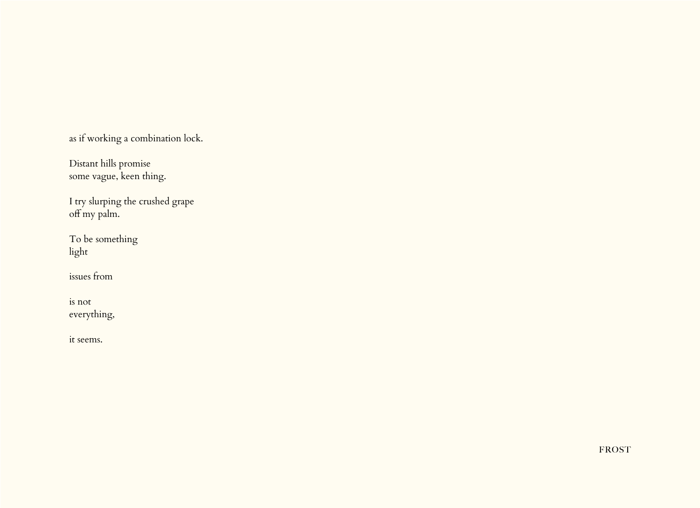as if working a combination lock.

Distant hills promise some vague, keen thing.

I try slurping the crushed grape off my palm.

To be something light

issues from

is not everything,

it seems.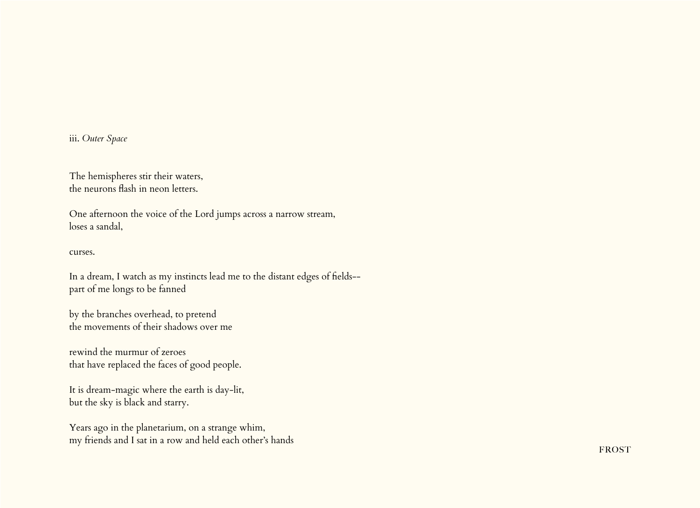iii. *Outer Space*

The hemispheres stir their waters, the neurons flash in neon letters.

One afternoon the voice of the Lord jumps across a narrow stream, loses a sandal,

curses.

In a dream, I watch as my instincts lead me to the distant edges of fields- part of me longs to be fanned

by the branches overhead, to pretend the movements of their shadows over me

rewind the murmur of zeroes that have replaced the faces of good people.

It is dream-magic where the earth is day-lit, but the sky is black and starry.

Years ago in the planetarium, on a strange whim, my friends and I sat in a row and held each other's hands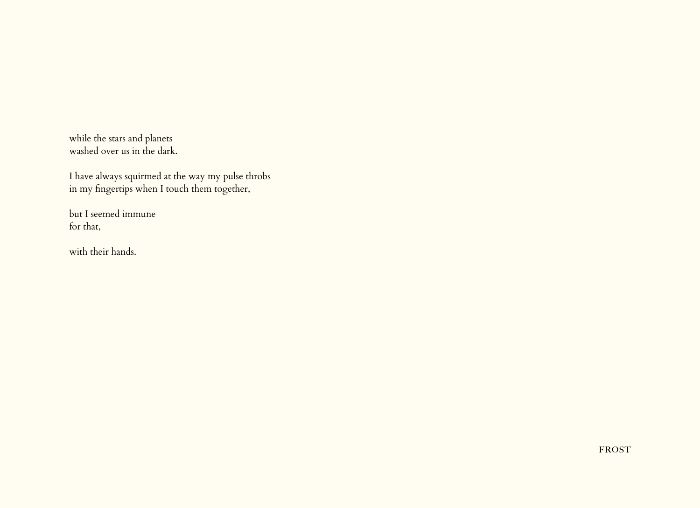while the stars and planets washed over us in the dark.

I have always squirmed at the way my pulse throbs in my fingertips when I touch them together,

but I seemed immune for that,

with their hands.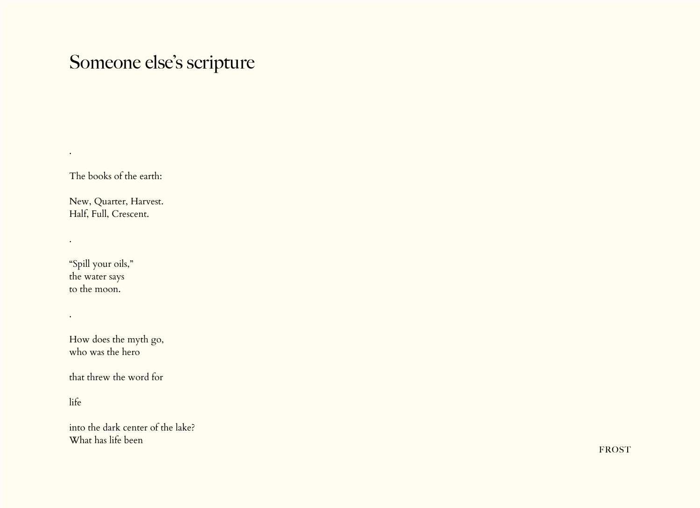# Someone else's scripture

The books of the earth:

.

.

.

New, Quarter, Harvest. Half, Full, Crescent.

"Spill your oils," the water says to the moon.

How does the myth go, who was the hero

that threw the word for

life

into the dark center of the lake? What has life been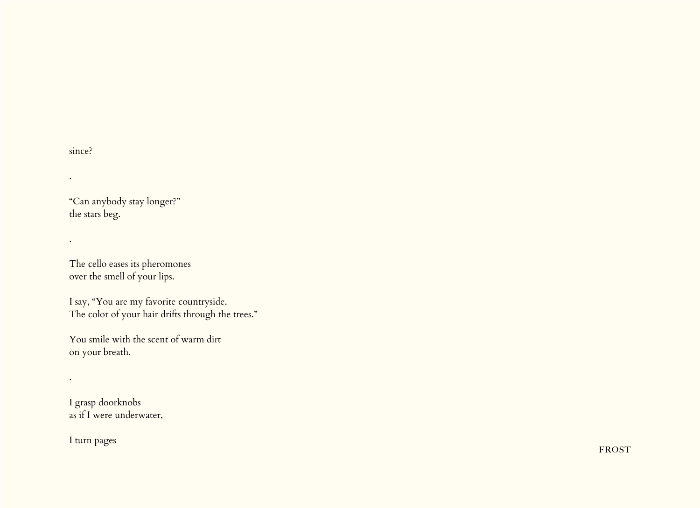since?

.

.

.

"Can anybody stay longer?" the stars beg.

The cello eases its pheromones over the smell of your lips.

I say, "You are my favorite countryside. The color of your hair drifts through the trees."

You smile with the scent of warm dirt on your breath.

I grasp doorknobs as if I were underwater,

I turn pages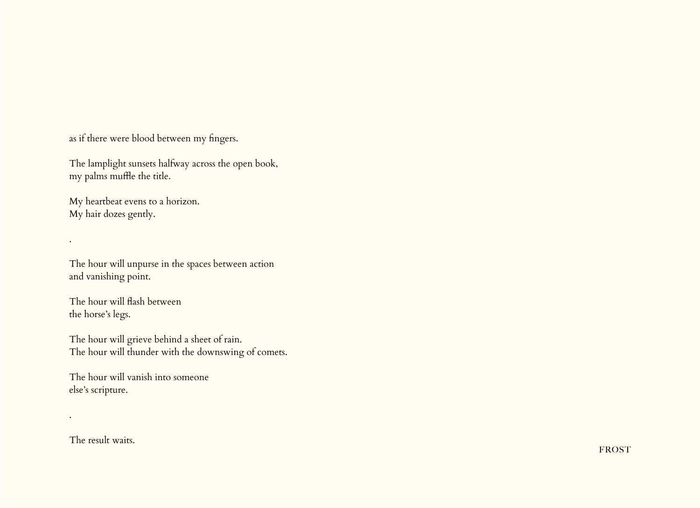as if there were blood between my fingers.

The lamplight sunsets halfway across the open book, my palms muffle the title.

My heartbeat evens to a horizon. My hair dozes gently.

The hour will unpurse in the spaces between action and vanishing point.

The hour will flash between the horse's legs.

.

.

The hour will grieve behind a sheet of rain. The hour will thunder with the downswing of comets.

The hour will vanish into someone else's scripture.

The result waits.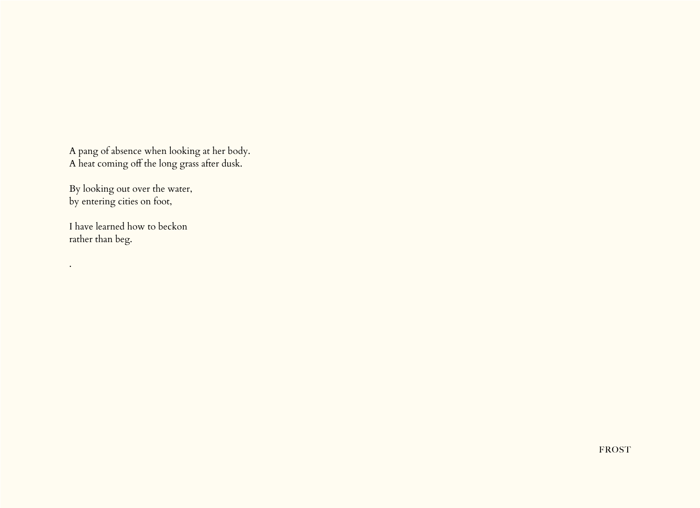A pang of absence when looking at her body. A heat coming off the long grass after dusk.

By looking out over the water, by entering cities on foot,

I have learned how to beckon rather than beg.

.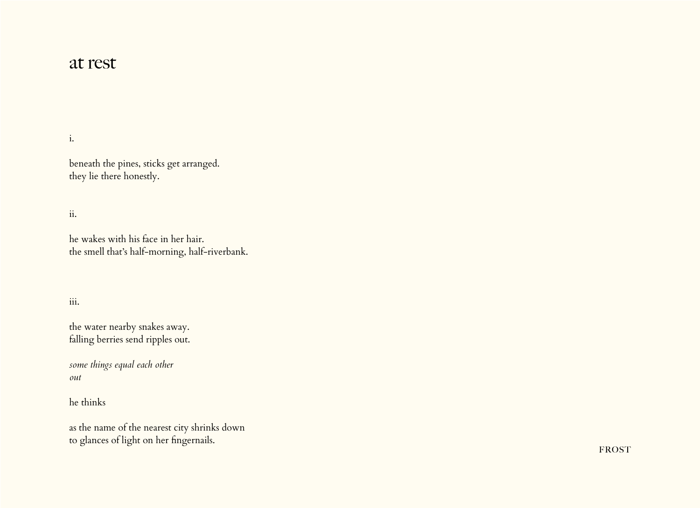### at rest

#### i.

beneath the pines, sticks get arranged. they lie there honestly.

#### ii.

he wakes with his face in her hair. the smell that's half-morning, half-riverbank.

#### iii.

the water nearby snakes away. falling berries send ripples out.

*some things equal each other out*

he thinks

as the name of the nearest city shrinks down to glances of light on her fingernails.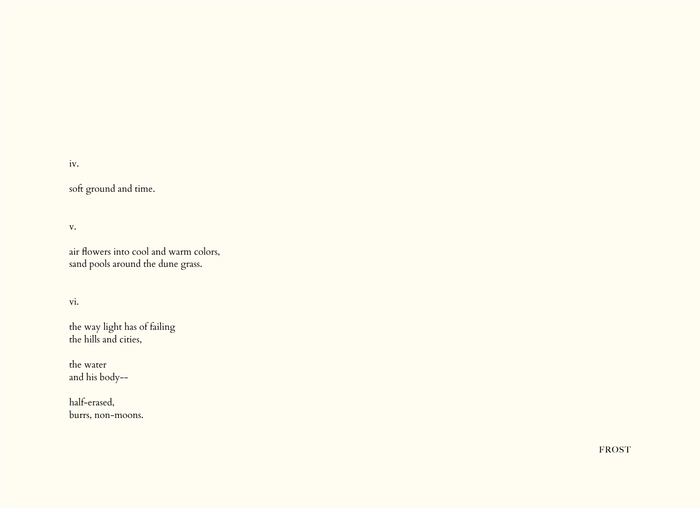#### iv.

soft ground and time.

#### v.

air flowers into cool and warm colors, sand pools around the dune grass.

#### vi.

the way light has of failing the hills and cities,

the water and his body--

half-erased, burrs, non-moons.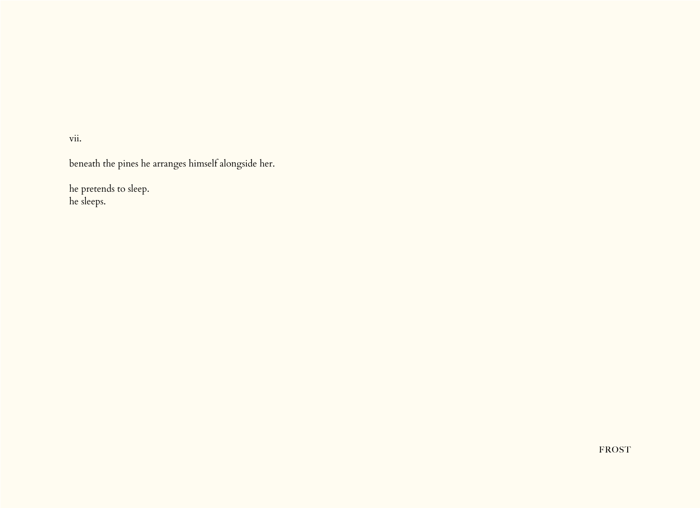vii.

beneath the pines he arranges himself alongside her.

he pretends to sleep. he sleeps.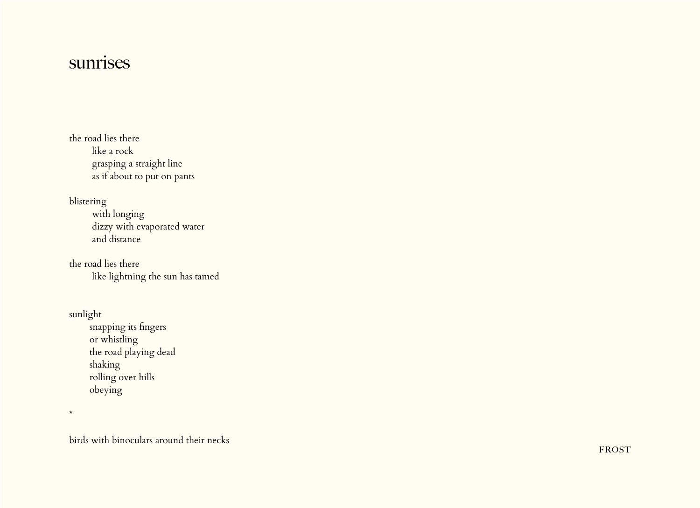## sunrises

the road lies there like a rock grasping a straight line as if about to put on pants

blistering with longing dizzy with evaporated water and distance

the road lies there like lightning the sun has tamed

sunlight snapping its fingers or whistling the road playing dead shaking rolling over hills obeying

\*

birds with binoculars around their necks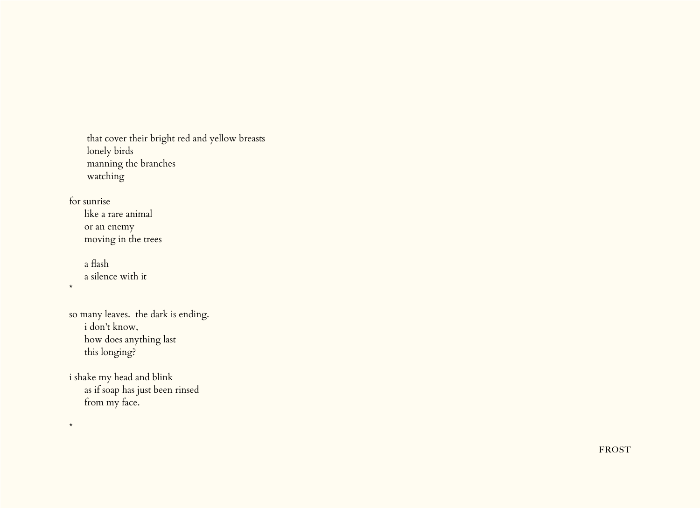that cover their bright red and yellow breasts lonely birds manning the branches watching

#### for sunrise

\*

\*

 like a rare animal or an enemy moving in the trees

 a flash a silence with it

so many leaves. the dark is ending. i don't know, how does anything last this longing?

i shake my head and blink as if soap has just been rinsed from my face.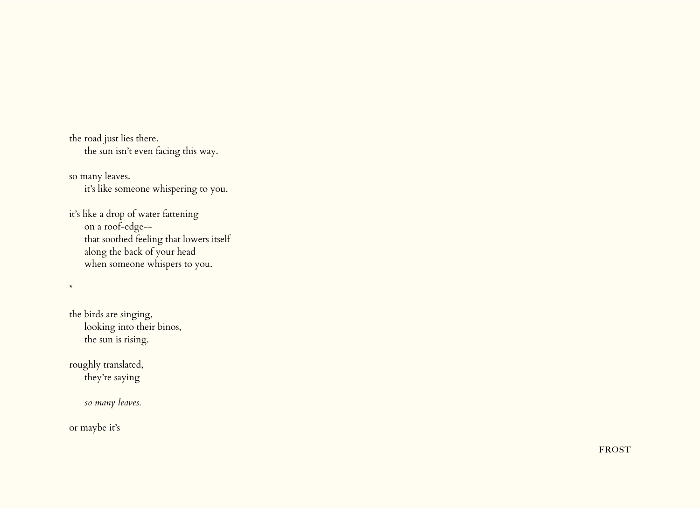the road just lies there. the sun isn't even facing this way.

so many leaves. it's like someone whispering to you.

it's like a drop of water fattening on a roof-edge-- that soothed feeling that lowers itself along the back of your head when someone whispers to you.

the birds are singing, looking into their binos, the sun is rising.

roughly translated, they're saying

*so many leaves.*

or maybe it's

\*